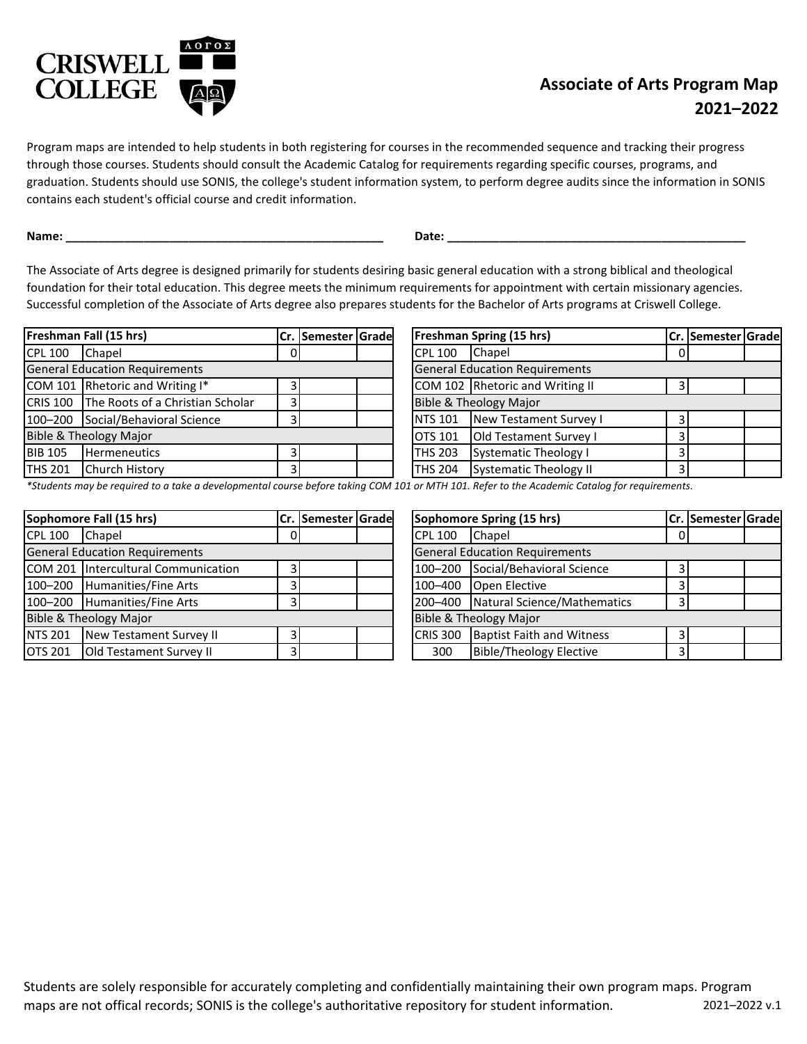

## **Associate of Arts Program Map 2021–2022**

Program maps are intended to help students in both registering for courses in the recommended sequence and tracking their progress through those courses. Students should consult the Academic Catalog for requirements regarding specific courses, programs, and graduation. Students should use SONIS, the college's student information system, to perform degree audits since the information in SONIS contains each student's official course and credit information.

**Name: \_\_\_\_\_\_\_\_\_\_\_\_\_\_\_\_\_\_\_\_\_\_\_\_\_\_\_\_\_\_\_\_\_\_\_\_\_\_\_\_\_\_\_\_\_\_\_\_\_ Date: \_\_\_\_\_\_\_\_\_\_\_\_\_\_\_\_\_\_\_\_\_\_\_\_\_\_\_\_\_\_\_\_\_\_\_\_\_\_\_\_\_\_\_\_\_\_**

The Associate of Arts degree is designed primarily for students desiring basic general education with a strong biblical and theological foundation for their total education. This degree meets the minimum requirements for appointment with certain missionary agencies. Successful completion of the Associate of Arts degree also prepares students for the Bachelor of Arts programs at Criswell College.

| Freshman Fall (15 hrs)                |                                           |    | Cr. Semester Grade |                                 | <b>Freshman Spring (15 hrs)</b> |                                       |    |
|---------------------------------------|-------------------------------------------|----|--------------------|---------------------------------|---------------------------------|---------------------------------------|----|
| <b>CPL 100</b>                        | <b>Chapel</b>                             | 01 |                    |                                 | <b>CPL 100</b>                  | <b>Chapel</b>                         | -0 |
| <b>General Education Requirements</b> |                                           |    |                    |                                 |                                 | <b>General Education Requirements</b> |    |
|                                       | COM 101 Rhetoric and Writing I*           |    |                    | COM 102 Rhetoric and Writing II |                                 |                                       |    |
|                                       | CRIS 100 The Roots of a Christian Scholar | 3  |                    |                                 |                                 | <b>Bible &amp; Theology Major</b>     |    |
| 100-200                               | Social/Behavioral Science                 |    |                    |                                 | <b>NTS 101</b>                  | New Testament Survey I                |    |
| Bible & Theology Major                |                                           |    |                    |                                 | <b>OTS 101</b>                  | <b>Old Testament Survey I</b>         |    |
| <b>BIB 105</b>                        | <b>Hermeneutics</b>                       | 3  |                    |                                 | <b>THS 203</b>                  | <b>Systematic Theology I</b>          |    |
| <b>THS 201</b>                        | Church History                            | 31 |                    |                                 | <b>THS 204</b>                  | Systematic Theology II                |    |
|                                       |                                           |    |                    |                                 |                                 |                                       |    |

| Cr.   Semester   Grade |                | <b>Freshman Spring (15 hrs)</b>       |   | Cr.   Semester   Grade |  |
|------------------------|----------------|---------------------------------------|---|------------------------|--|
|                        | <b>CPL 100</b> | Chapel                                |   |                        |  |
|                        |                | <b>General Education Requirements</b> |   |                        |  |
|                        |                | COM 102 Rhetoric and Writing II       |   |                        |  |
|                        |                | <b>Bible &amp; Theology Major</b>     |   |                        |  |
|                        | <b>NTS 101</b> | New Testament Survey I                |   |                        |  |
|                        | <b>OTS 101</b> | Old Testament Survey I                | 3 |                        |  |
|                        | <b>THS 203</b> | <b>Systematic Theology I</b>          |   |                        |  |
|                        | <b>THS 204</b> | <b>Systematic Theology II</b>         |   |                        |  |

*\*Students may be required to a take a developmental course before taking COM 101 or MTH 101. Refer to the Academic Catalog for requirements.*

| Sophomore Fall (15 hrs)               |                                     |                | Cr. Semester Grade |  |                                       | Sophomore Spring (15 hrs) |                                     |   |
|---------------------------------------|-------------------------------------|----------------|--------------------|--|---------------------------------------|---------------------------|-------------------------------------|---|
| <b>CPL 100</b>                        | Chapel                              | 0              |                    |  |                                       | <b>CPL 100</b>            | Chapel                              | 0 |
| <b>General Education Requirements</b> |                                     |                |                    |  | <b>General Education Requirements</b> |                           |                                     |   |
|                                       | COM 201 Intercultural Communication | $\overline{3}$ |                    |  |                                       | 100-200                   | Social/Behavioral Science           |   |
|                                       | 100-200 Humanities/Fine Arts        | 3              |                    |  |                                       | 100-400                   | <b>Open Elective</b>                |   |
|                                       | 100-200 Humanities/Fine Arts        | 3              |                    |  |                                       |                           | 200-400 Natural Science/Mathematics |   |
| <b>Bible &amp; Theology Major</b>     |                                     |                |                    |  |                                       |                           | Bible & Theology Major              |   |
| <b>NTS 201</b>                        | New Testament Survey II             | 3              |                    |  |                                       | <b>CRIS 300</b>           | <b>Baptist Faith and Witness</b>    |   |
| <b>OTS 201</b>                        | <b>Old Testament Survey II</b>      | 3              |                    |  |                                       | 300                       | <b>Bible/Theology Elective</b>      |   |

| Cr.   Semester   Grade |                 | Sophomore Spring (15 hrs)             |   | Cr. Semester Grade |  |
|------------------------|-----------------|---------------------------------------|---|--------------------|--|
|                        | <b>CPL 100</b>  | Chapel                                |   |                    |  |
|                        |                 | <b>General Education Requirements</b> |   |                    |  |
|                        | 100-200         | Social/Behavioral Science             |   |                    |  |
|                        | 100-400         | Open Elective                         |   |                    |  |
|                        | 200-400         | Natural Science/Mathematics           |   |                    |  |
|                        |                 | <b>Bible &amp; Theology Major</b>     |   |                    |  |
|                        | <b>CRIS 300</b> | <b>Baptist Faith and Witness</b>      |   |                    |  |
|                        | 300             | <b>Bible/Theology Elective</b>        | 3 |                    |  |